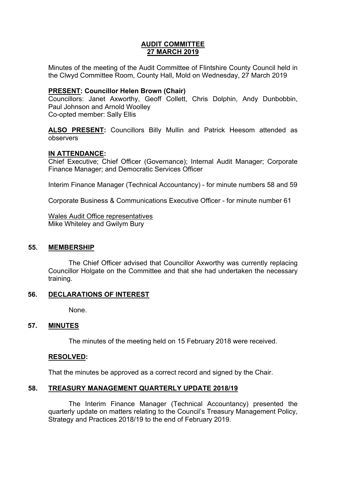## **AUDIT COMMITTEE 27 MARCH 2019**

Minutes of the meeting of the Audit Committee of Flintshire County Council held in the Clwyd Committee Room, County Hall, Mold on Wednesday, 27 March 2019

## **PRESENT: Councillor Helen Brown (Chair)**

Councillors: Janet Axworthy, Geoff Collett, Chris Dolphin, Andy Dunbobbin, Paul Johnson and Arnold Woolley Co-opted member: Sally Ellis

**ALSO PRESENT:** Councillors Billy Mullin and Patrick Heesom attended as observers

## **IN ATTENDANCE:**

Chief Executive; Chief Officer (Governance); Internal Audit Manager; Corporate Finance Manager; and Democratic Services Officer

Interim Finance Manager (Technical Accountancy) - for minute numbers 58 and 59

Corporate Business & Communications Executive Officer - for minute number 61

Wales Audit Office representatives Mike Whiteley and Gwilym Bury

## **55. MEMBERSHIP**

The Chief Officer advised that Councillor Axworthy was currently replacing Councillor Holgate on the Committee and that she had undertaken the necessary training.

## **56. DECLARATIONS OF INTEREST**

None.

## **57. MINUTES**

The minutes of the meeting held on 15 February 2018 were received.

## **RESOLVED:**

That the minutes be approved as a correct record and signed by the Chair.

## **58. TREASURY MANAGEMENT QUARTERLY UPDATE 2018/19**

The Interim Finance Manager (Technical Accountancy) presented the quarterly update on matters relating to the Council's Treasury Management Policy, Strategy and Practices 2018/19 to the end of February 2019.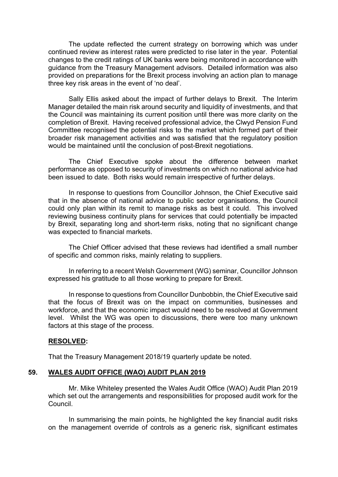The update reflected the current strategy on borrowing which was under continued review as interest rates were predicted to rise later in the year. Potential changes to the credit ratings of UK banks were being monitored in accordance with guidance from the Treasury Management advisors. Detailed information was also provided on preparations for the Brexit process involving an action plan to manage three key risk areas in the event of 'no deal'.

Sally Ellis asked about the impact of further delays to Brexit. The Interim Manager detailed the main risk around security and liquidity of investments, and that the Council was maintaining its current position until there was more clarity on the completion of Brexit. Having received professional advice, the Clwyd Pension Fund Committee recognised the potential risks to the market which formed part of their broader risk management activities and was satisfied that the regulatory position would be maintained until the conclusion of post-Brexit negotiations.

The Chief Executive spoke about the difference between market performance as opposed to security of investments on which no national advice had been issued to date. Both risks would remain irrespective of further delays.

In response to questions from Councillor Johnson, the Chief Executive said that in the absence of national advice to public sector organisations, the Council could only plan within its remit to manage risks as best it could. This involved reviewing business continuity plans for services that could potentially be impacted by Brexit, separating long and short-term risks, noting that no significant change was expected to financial markets.

The Chief Officer advised that these reviews had identified a small number of specific and common risks, mainly relating to suppliers.

In referring to a recent Welsh Government (WG) seminar, Councillor Johnson expressed his gratitude to all those working to prepare for Brexit.

In response to questions from Councillor Dunbobbin, the Chief Executive said that the focus of Brexit was on the impact on communities, businesses and workforce, and that the economic impact would need to be resolved at Government level. Whilst the WG was open to discussions, there were too many unknown factors at this stage of the process.

#### **RESOLVED:**

That the Treasury Management 2018/19 quarterly update be noted.

#### **59. WALES AUDIT OFFICE (WAO) AUDIT PLAN 2019**

Mr. Mike Whiteley presented the Wales Audit Office (WAO) Audit Plan 2019 which set out the arrangements and responsibilities for proposed audit work for the Council.

In summarising the main points, he highlighted the key financial audit risks on the management override of controls as a generic risk, significant estimates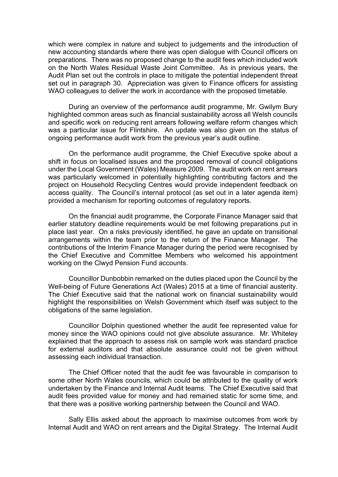which were complex in nature and subject to judgements and the introduction of new accounting standards where there was open dialogue with Council officers on preparations. There was no proposed change to the audit fees which included work on the North Wales Residual Waste Joint Committee. As in previous years, the Audit Plan set out the controls in place to mitigate the potential independent threat set out in paragraph 30. Appreciation was given to Finance officers for assisting WAO colleagues to deliver the work in accordance with the proposed timetable.

During an overview of the performance audit programme, Mr. Gwilym Bury highlighted common areas such as financial sustainability across all Welsh councils and specific work on reducing rent arrears following welfare reform changes which was a particular issue for Flintshire. An update was also given on the status of ongoing performance audit work from the previous year's audit outline.

On the performance audit programme, the Chief Executive spoke about a shift in focus on localised issues and the proposed removal of council obligations under the Local Government (Wales) Measure 2009. The audit work on rent arrears was particularly welcomed in potentially highlighting contributing factors and the project on Household Recycling Centres would provide independent feedback on access quality. The Council's internal protocol (as set out in a later agenda item) provided a mechanism for reporting outcomes of regulatory reports.

On the financial audit programme, the Corporate Finance Manager said that earlier statutory deadline requirements would be met following preparations put in place last year. On a risks previously identified, he gave an update on transitional arrangements within the team prior to the return of the Finance Manager. The contributions of the Interim Finance Manager during the period were recognised by the Chief Executive and Committee Members who welcomed his appointment working on the Clwyd Pension Fund accounts.

Councillor Dunbobbin remarked on the duties placed upon the Council by the Well-being of Future Generations Act (Wales) 2015 at a time of financial austerity. The Chief Executive said that the national work on financial sustainability would highlight the responsibilities on Welsh Government which itself was subject to the obligations of the same legislation.

Councillor Dolphin questioned whether the audit fee represented value for money since the WAO opinions could not give absolute assurance. Mr. Whiteley explained that the approach to assess risk on sample work was standard practice for external auditors and that absolute assurance could not be given without assessing each individual transaction.

The Chief Officer noted that the audit fee was favourable in comparison to some other North Wales councils, which could be attributed to the quality of work undertaken by the Finance and Internal Audit teams. The Chief Executive said that audit fees provided value for money and had remained static for some time, and that there was a positive working partnership between the Council and WAO.

Sally Ellis asked about the approach to maximise outcomes from work by Internal Audit and WAO on rent arrears and the Digital Strategy. The Internal Audit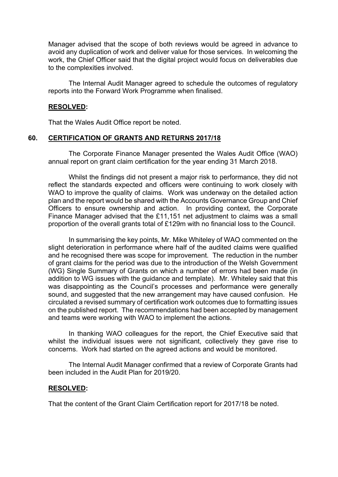Manager advised that the scope of both reviews would be agreed in advance to avoid any duplication of work and deliver value for those services. In welcoming the work, the Chief Officer said that the digital project would focus on deliverables due to the complexities involved.

The Internal Audit Manager agreed to schedule the outcomes of regulatory reports into the Forward Work Programme when finalised.

#### **RESOLVED:**

That the Wales Audit Office report be noted.

#### **60. CERTIFICATION OF GRANTS AND RETURNS 2017/18**

The Corporate Finance Manager presented the Wales Audit Office (WAO) annual report on grant claim certification for the year ending 31 March 2018.

Whilst the findings did not present a major risk to performance, they did not reflect the standards expected and officers were continuing to work closely with WAO to improve the quality of claims. Work was underway on the detailed action plan and the report would be shared with the Accounts Governance Group and Chief Officers to ensure ownership and action. In providing context, the Corporate Finance Manager advised that the £11,151 net adjustment to claims was a small proportion of the overall grants total of £129m with no financial loss to the Council.

In summarising the key points, Mr. Mike Whiteley of WAO commented on the slight deterioration in performance where half of the audited claims were qualified and he recognised there was scope for improvement. The reduction in the number of grant claims for the period was due to the introduction of the Welsh Government (WG) Single Summary of Grants on which a number of errors had been made (in addition to WG issues with the guidance and template). Mr. Whiteley said that this was disappointing as the Council's processes and performance were generally sound, and suggested that the new arrangement may have caused confusion. He circulated a revised summary of certification work outcomes due to formatting issues on the published report. The recommendations had been accepted by management and teams were working with WAO to implement the actions.

In thanking WAO colleagues for the report, the Chief Executive said that whilst the individual issues were not significant, collectively they gave rise to concerns. Work had started on the agreed actions and would be monitored.

The Internal Audit Manager confirmed that a review of Corporate Grants had been included in the Audit Plan for 2019/20.

#### **RESOLVED:**

That the content of the Grant Claim Certification report for 2017/18 be noted.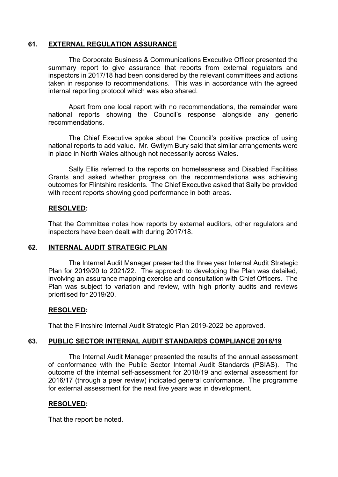## **61. EXTERNAL REGULATION ASSURANCE**

The Corporate Business & Communications Executive Officer presented the summary report to give assurance that reports from external regulators and inspectors in 2017/18 had been considered by the relevant committees and actions taken in response to recommendations. This was in accordance with the agreed internal reporting protocol which was also shared.

Apart from one local report with no recommendations, the remainder were national reports showing the Council's response alongside any generic recommendations.

The Chief Executive spoke about the Council's positive practice of using national reports to add value. Mr. Gwilym Bury said that similar arrangements were in place in North Wales although not necessarily across Wales.

Sally Ellis referred to the reports on homelessness and Disabled Facilities Grants and asked whether progress on the recommendations was achieving outcomes for Flintshire residents. The Chief Executive asked that Sally be provided with recent reports showing good performance in both areas.

## **RESOLVED:**

That the Committee notes how reports by external auditors, other regulators and inspectors have been dealt with during 2017/18.

## **62. INTERNAL AUDIT STRATEGIC PLAN**

The Internal Audit Manager presented the three year Internal Audit Strategic Plan for 2019/20 to 2021/22. The approach to developing the Plan was detailed, involving an assurance mapping exercise and consultation with Chief Officers. The Plan was subject to variation and review, with high priority audits and reviews prioritised for 2019/20.

## **RESOLVED:**

That the Flintshire Internal Audit Strategic Plan 2019-2022 be approved.

## **63. PUBLIC SECTOR INTERNAL AUDIT STANDARDS COMPLIANCE 2018/19**

The Internal Audit Manager presented the results of the annual assessment of conformance with the Public Sector Internal Audit Standards (PSIAS). The outcome of the internal self-assessment for 2018/19 and external assessment for 2016/17 (through a peer review) indicated general conformance. The programme for external assessment for the next five years was in development.

# **RESOLVED:**

That the report be noted.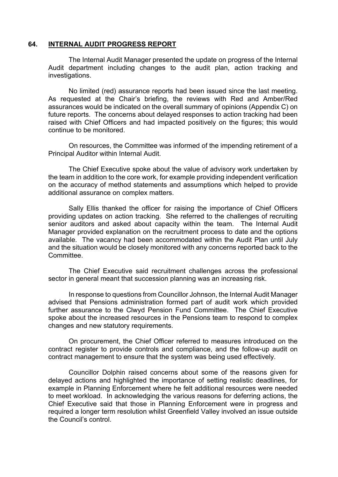#### **64. INTERNAL AUDIT PROGRESS REPORT**

The Internal Audit Manager presented the update on progress of the Internal Audit department including changes to the audit plan, action tracking and investigations.

No limited (red) assurance reports had been issued since the last meeting. As requested at the Chair's briefing, the reviews with Red and Amber/Red assurances would be indicated on the overall summary of opinions (Appendix C) on future reports. The concerns about delayed responses to action tracking had been raised with Chief Officers and had impacted positively on the figures; this would continue to be monitored.

On resources, the Committee was informed of the impending retirement of a Principal Auditor within Internal Audit.

The Chief Executive spoke about the value of advisory work undertaken by the team in addition to the core work, for example providing independent verification on the accuracy of method statements and assumptions which helped to provide additional assurance on complex matters.

Sally Ellis thanked the officer for raising the importance of Chief Officers providing updates on action tracking. She referred to the challenges of recruiting senior auditors and asked about capacity within the team. The Internal Audit Manager provided explanation on the recruitment process to date and the options available. The vacancy had been accommodated within the Audit Plan until July and the situation would be closely monitored with any concerns reported back to the Committee.

The Chief Executive said recruitment challenges across the professional sector in general meant that succession planning was an increasing risk.

In response to questions from Councillor Johnson, the Internal Audit Manager advised that Pensions administration formed part of audit work which provided further assurance to the Clwyd Pension Fund Committee. The Chief Executive spoke about the increased resources in the Pensions team to respond to complex changes and new statutory requirements.

On procurement, the Chief Officer referred to measures introduced on the contract register to provide controls and compliance, and the follow-up audit on contract management to ensure that the system was being used effectively.

Councillor Dolphin raised concerns about some of the reasons given for delayed actions and highlighted the importance of setting realistic deadlines, for example in Planning Enforcement where he felt additional resources were needed to meet workload. In acknowledging the various reasons for deferring actions, the Chief Executive said that those in Planning Enforcement were in progress and required a longer term resolution whilst Greenfield Valley involved an issue outside the Council's control.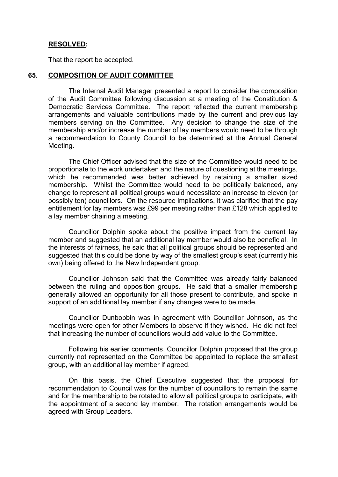#### **RESOLVED:**

That the report be accepted.

#### **65. COMPOSITION OF AUDIT COMMITTEE**

The Internal Audit Manager presented a report to consider the composition of the Audit Committee following discussion at a meeting of the Constitution & Democratic Services Committee. The report reflected the current membership arrangements and valuable contributions made by the current and previous lay members serving on the Committee. Any decision to change the size of the membership and/or increase the number of lay members would need to be through a recommendation to County Council to be determined at the Annual General Meeting.

The Chief Officer advised that the size of the Committee would need to be proportionate to the work undertaken and the nature of questioning at the meetings, which he recommended was better achieved by retaining a smaller sized membership. Whilst the Committee would need to be politically balanced, any change to represent all political groups would necessitate an increase to eleven (or possibly ten) councillors. On the resource implications, it was clarified that the pay entitlement for lay members was £99 per meeting rather than £128 which applied to a lay member chairing a meeting.

Councillor Dolphin spoke about the positive impact from the current lay member and suggested that an additional lay member would also be beneficial. In the interests of fairness, he said that all political groups should be represented and suggested that this could be done by way of the smallest group's seat (currently his own) being offered to the New Independent group.

Councillor Johnson said that the Committee was already fairly balanced between the ruling and opposition groups. He said that a smaller membership generally allowed an opportunity for all those present to contribute, and spoke in support of an additional lay member if any changes were to be made.

Councillor Dunbobbin was in agreement with Councillor Johnson, as the meetings were open for other Members to observe if they wished. He did not feel that increasing the number of councillors would add value to the Committee.

Following his earlier comments, Councillor Dolphin proposed that the group currently not represented on the Committee be appointed to replace the smallest group, with an additional lay member if agreed.

On this basis, the Chief Executive suggested that the proposal for recommendation to Council was for the number of councillors to remain the same and for the membership to be rotated to allow all political groups to participate, with the appointment of a second lay member. The rotation arrangements would be agreed with Group Leaders.